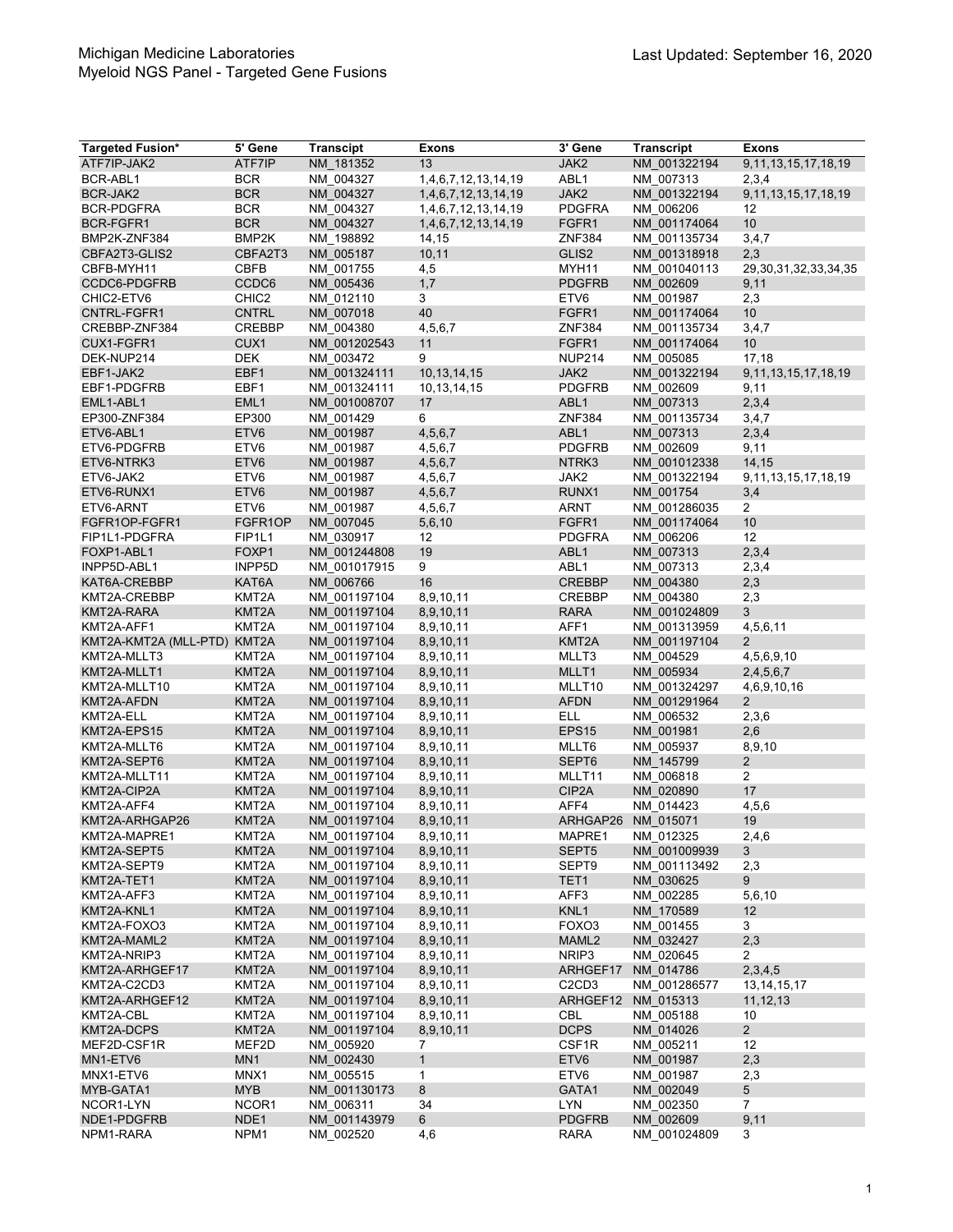| <b>Targeted Fusion*</b>      | 5' Gene            | <b>Transcipt</b>             | <b>Exons</b>           | 3' Gene                                    | <b>Transcript</b>         | <b>Exons</b>               |
|------------------------------|--------------------|------------------------------|------------------------|--------------------------------------------|---------------------------|----------------------------|
| ATF7IP-JAK2                  | ATF7IP             | NM 181352                    | 13                     | JAK2                                       | NM 001322194              | 9, 11, 13, 15, 17, 18, 19  |
| BCR-ABL1                     | <b>BCR</b>         | NM 004327                    | 1,4,6,7,12,13,14,19    | ABL1                                       | NM 007313                 | 2,3,4                      |
| BCR-JAK2                     | <b>BCR</b>         | NM 004327                    | 1,4,6,7,12,13,14,19    | JAK2                                       | NM 001322194              | 9, 11, 13, 15, 17, 18, 19  |
| <b>BCR-PDGFRA</b>            | <b>BCR</b>         | NM 004327                    | 1,4,6,7,12,13,14,19    | <b>PDGFRA</b>                              | NM 006206                 | 12                         |
| BCR-FGFR1                    | <b>BCR</b>         | NM 004327                    | 1,4,6,7,12,13,14,19    | FGFR1                                      | NM 001174064              | 10                         |
| BMP2K-ZNF384                 | BMP2K              | NM 198892                    | 14,15                  | <b>ZNF384</b>                              | NM 001135734              | 3,4,7                      |
| CBFA2T3-GLIS2                | CBFA2T3            | NM 005187                    | 10, 11                 | GLIS2                                      | NM 001318918              | 2,3                        |
| CBFB-MYH11                   | <b>CBFB</b>        | NM 001755                    | 4,5                    | MYH11                                      | NM 001040113              | 29, 30, 31, 32, 33, 34, 35 |
| CCDC6-PDGFRB                 | CCDC6              | NM 005436                    | 1,7                    | <b>PDGFRB</b>                              | NM 002609                 | 9,11                       |
| CHIC2-ETV6                   | CHIC <sub>2</sub>  | NM 012110                    | 3                      | ETV <sub>6</sub>                           | NM 001987                 | 2,3                        |
| CNTRL-FGFR1                  | <b>CNTRL</b>       | NM 007018                    | 40                     | FGFR1                                      | NM 001174064              | 10 <sup>1</sup>            |
| CREBBP-ZNF384                | CREBBP             | NM 004380                    | 4,5,6,7                | <b>ZNF384</b>                              | NM 001135734              | 3,4,7                      |
| CUX1-FGFR1                   | CUX1               | NM 001202543                 | 11                     | FGFR1                                      | NM 001174064              | 10                         |
| DEK-NUP214                   | <b>DEK</b>         | NM 003472                    | 9                      | <b>NUP214</b>                              | NM 005085                 | 17,18                      |
| EBF1-JAK2                    | EBF1               | NM 001324111                 | 10, 13, 14, 15         | JAK2                                       | NM 001322194              | 9, 11, 13, 15, 17, 18, 19  |
| EBF1-PDGFRB                  | EBF1               | NM 001324111                 | 10, 13, 14, 15         | <b>PDGFRB</b>                              | NM 002609                 | 9,11                       |
| EML1-ABL1                    | EML <sub>1</sub>   | NM 001008707                 | 17                     | ABL <sub>1</sub>                           | NM 007313                 | 2,3,4                      |
| EP300-ZNF384                 | EP300              | NM 001429                    | 6                      | <b>ZNF384</b>                              | NM 001135734              | 3,4,7                      |
| ETV6-ABL1                    | ETV6               | NM 001987                    | 4,5,6,7                | ABL <sub>1</sub>                           | NM 007313                 | 2,3,4                      |
| ETV6-PDGFRB                  | ETV6               | NM_001987                    | 4,5,6,7                | <b>PDGFRB</b>                              | NM 002609                 | 9,11                       |
| ETV6-NTRK3                   | ETV6               | NM 001987                    | 4,5,6,7                | NTRK3                                      | NM 001012338              | 14,15                      |
| ETV6-JAK2                    | ETV6               | NM 001987                    | 4,5,6,7                | JAK2                                       | NM 001322194              | 9,11,13,15,17,18,19        |
| ETV6-RUNX1                   | ETV6               | NM 001987                    | 4,5,6,7                | RUNX1                                      | NM 001754                 | 3,4                        |
| ETV6-ARNT                    | ETV <sub>6</sub>   | NM 001987                    | 4,5,6,7                | ARNT                                       | NM 001286035              | $\overline{2}$             |
| FGFR1OP-FGFR1                | FGFR1OP            | NM 007045                    | 5,6,10                 | FGFR1                                      | NM 001174064              | 10                         |
| FIP1L1-PDGFRA                | FIP1L1             | NM 030917                    | 12                     | <b>PDGFRA</b>                              | NM 006206                 | 12                         |
| FOXP1-ABL1                   | FOXP1              | NM 001244808                 | 19                     | ABL <sub>1</sub>                           | NM 007313                 | 2,3,4                      |
| INPP5D-ABL1                  | INPP5D             | NM 001017915                 | 9                      | ABL1                                       | NM 007313                 | 2,3,4                      |
| KAT6A-CREBBP                 | KAT6A              | NM 006766                    | 16                     | <b>CREBBP</b>                              | NM 004380                 | 2,3                        |
| KMT2A-CREBBP                 | KMT2A              | NM 001197104                 | 8,9,10,11              | <b>CREBBP</b>                              | NM 004380                 | 2,3                        |
| KMT2A-RARA                   | KMT2A              | NM 001197104                 | 8,9,10,11              | <b>RARA</b>                                | NM 001024809              | 3                          |
| KMT2A-AFF1                   | KMT2A              | NM 001197104                 | 8,9,10,11              | AFF1                                       | NM 001313959              | 4,5,6,11                   |
| KMT2A-KMT2A (MLL-PTD)        | KMT <sub>2</sub> A | NM_001197104                 | 8,9,10,11              | KMT <sub>2</sub> A                         | NM 001197104              | $\overline{2}$             |
| KMT2A-MLLT3                  | KMT <sub>2</sub> A | NM 001197104                 | 8,9,10,11              | MLLT3                                      | NM 004529                 | 4,5,6,9,10                 |
| KMT2A-MLLT1                  | KMT2A              | NM 001197104                 | 8,9,10,11              | MLLT1                                      | NM 005934                 | 2,4,5,6,7                  |
| KMT2A-MLLT10                 | KMT2A              | NM 001197104                 | 8,9,10,11              | MLLT10                                     | NM 001324297              | 4,6,9,10,16                |
| KMT2A-AFDN                   | KMT2A              | NM 001197104                 | 8,9,10,11              | <b>AFDN</b>                                | NM 001291964              | $\overline{2}$             |
| KMT2A-ELL                    | KMT <sub>2</sub> A | NM 001197104                 | 8,9,10,11              | <b>ELL</b>                                 | NM 006532                 | 2,3,6                      |
| KMT2A-EPS15                  | KMT <sub>2</sub> A | NM 001197104                 | 8,9,10,11              | EPS <sub>15</sub>                          | NM 001981                 | 2,6                        |
| KMT2A-MLLT6                  | KMT2A              | NM 001197104                 | 8,9,10,11              | MLLT6                                      | NM 005937                 | 8,9,10                     |
| KMT2A-SEPT6                  | KMT2A              | NM 001197104                 | 8,9,10,11              | SEPT6                                      | NM 145799                 | $\overline{2}$             |
| KMT2A-MLLT11                 | KMT2A              | NM 001197104                 | 8,9,10,11              | MLLT11                                     | NM 006818                 | $\overline{2}$<br>17       |
| KMT2A-CIP2A                  | KMT2A              | NM 001197104                 | 8,9,10,11              | CIP2A                                      | NM_020890                 |                            |
| KMT2A-AFF4<br>KMT2A-ARHGAP26 | KMT2A              | NM 001197104                 | 8,9,10,11              | AFF4                                       | NM 014423                 | 4,5,6                      |
|                              | KMT2A<br>KMT2A     | NM 001197104                 | 8,9,10,11              | ARHGAP26                                   | NM 015071                 | 19<br>2,4,6                |
| KMT2A-MAPRE1                 |                    | NM_001197104                 | 8,9,10,11              | MAPRE1                                     | NM_012325<br>NM 001009939 | 3                          |
| KMT2A-SEPT5                  | KMT2A              | NM 001197104                 | 8,9,10,11              | SEPT <sub>5</sub>                          |                           |                            |
| KMT2A-SEPT9<br>KMT2A-TET1    | KMT2A<br>KMT2A     | NM 001197104<br>NM 001197104 | 8,9,10,11<br>8,9,10,11 | SEPT9<br>TET1                              | NM 001113492<br>NM 030625 | 2,3<br>9                   |
| KMT2A-AFF3                   | KMT2A              | NM 001197104                 | 8,9,10,11              | AFF3                                       | NM 002285                 | 5,6,10                     |
| KMT2A-KNL1                   | KMT2A              | NM 001197104                 | 8,9,10,11              | KNL1                                       | NM 170589                 | 12                         |
| KMT2A-FOXO3                  | KMT2A              | NM 001197104                 | 8,9,10,11              | FOXO3                                      | NM 001455                 | 3                          |
| KMT2A-MAML2                  | KMT2A              | NM 001197104                 | 8,9,10,11              | MAML <sub>2</sub>                          | NM 032427                 | 2,3                        |
| KMT2A-NRIP3                  | KMT2A              | NM_001197104                 | 8,9,10,11              | NRIP3                                      | NM 020645                 | $\overline{2}$             |
| KMT2A-ARHGEF17               | KMT2A              | NM 001197104                 | 8,9,10,11              | ARHGEF17                                   | NM 014786                 | 2,3,4,5                    |
| KMT2A-C2CD3                  | KMT2A              | NM 001197104                 | 8,9,10,11              | C <sub>2</sub> C <sub>D</sub> <sub>3</sub> | NM 001286577              | 13, 14, 15, 17             |
| KMT2A-ARHGEF12               | KMT2A              | NM 001197104                 | 8,9,10,11              | ARHGEF12                                   | NM 015313                 | 11, 12, 13                 |
| KMT2A-CBL                    | KMT2A              | NM 001197104                 | 8,9,10,11              | CBL                                        | NM 005188                 | 10                         |
| KMT2A-DCPS                   | KMT2A              | NM 001197104                 | 8,9,10,11              | <b>DCPS</b>                                | NM 014026                 | $\overline{2}$             |
| MEF2D-CSF1R                  | MEF2D              | NM 005920                    | 7                      | CSF1R                                      | NM 005211                 | 12                         |
| MN1-ETV6                     | MN <sub>1</sub>    | NM_002430                    | $\mathbf{1}$           | ETV <sub>6</sub>                           | NM 001987                 | 2,3                        |
| MNX1-ETV6                    | MNX1               | NM 005515                    | $\mathbf{1}$           | ETV6                                       | NM 001987                 | 2,3                        |
| MYB-GATA1                    | <b>MYB</b>         | NM 001130173                 | 8                      | GATA1                                      | NM 002049                 | $5\overline{)}$            |
| NCOR1-LYN                    | NCOR1              | NM_006311                    | 34                     | <b>LYN</b>                                 | NM 002350                 | $\overline{7}$             |
| NDE1-PDGFRB                  | NDE1               | NM 001143979                 | 6                      | <b>PDGFRB</b>                              | NM 002609                 | 9,11                       |
| NPM1-RARA                    | NPM1               | NM 002520                    | 4,6                    | RARA                                       | NM 001024809              | 3                          |